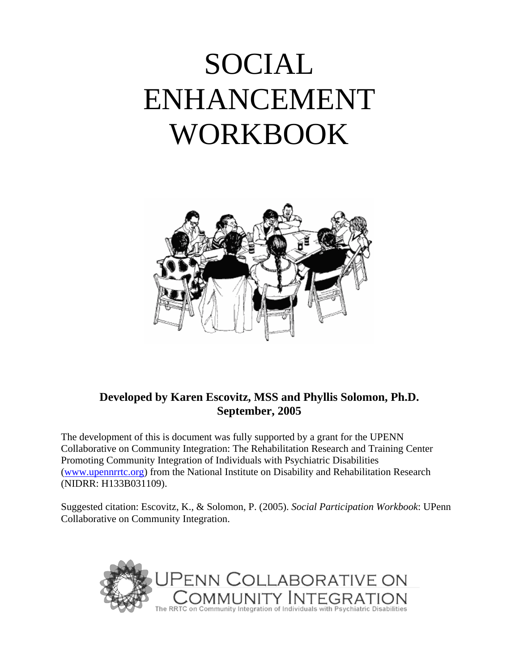# SOCIAL ENHANCEMENT WORKBOOK



# **Developed by Karen Escovitz, MSS and Phyllis Solomon, Ph.D. September, 2005**

The development of this is document was fully supported by a grant for the UPENN Collaborative on Community Integration: The Rehabilitation Research and Training Center Promoting Community Integration of Individuals with Psychiatric Disabilities (www.upennrrtc.org) from the National Institute on Disability and Rehabilitation Research (NIDRR: H133B031109).

Suggested citation: Escovitz, K., & Solomon, P. (2005). *Social Participation Workbook*: UPenn Collaborative on Community Integration.

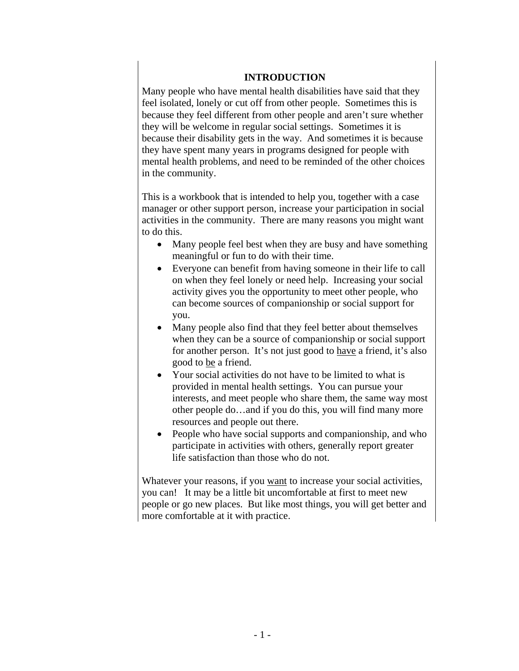#### **INTRODUCTION**

Many people who have mental health disabilities have said that they feel isolated, lonely or cut off from other people. Sometimes this is because they feel different from other people and aren't sure whether they will be welcome in regular social settings. Sometimes it is because their disability gets in the way. And sometimes it is because they have spent many years in programs designed for people with mental health problems, and need to be reminded of the other choices in the community.

This is a workbook that is intended to help you, together with a case manager or other support person, increase your participation in social activities in the community. There are many reasons you might want to do this.

- Many people feel best when they are busy and have something meaningful or fun to do with their time.
- Everyone can benefit from having someone in their life to call on when they feel lonely or need help. Increasing your social activity gives you the opportunity to meet other people, who can become sources of companionship or social support for you.
- Many people also find that they feel better about themselves when they can be a source of companionship or social support for another person. It's not just good to have a friend, it's also good to be a friend.
- Your social activities do not have to be limited to what is provided in mental health settings. You can pursue your interests, and meet people who share them, the same way most other people do…and if you do this, you will find many more resources and people out there.
- People who have social supports and companionship, and who participate in activities with others, generally report greater life satisfaction than those who do not.

Whatever your reasons, if you want to increase your social activities, you can! It may be a little bit uncomfortable at first to meet new people or go new places. But like most things, you will get better and more comfortable at it with practice.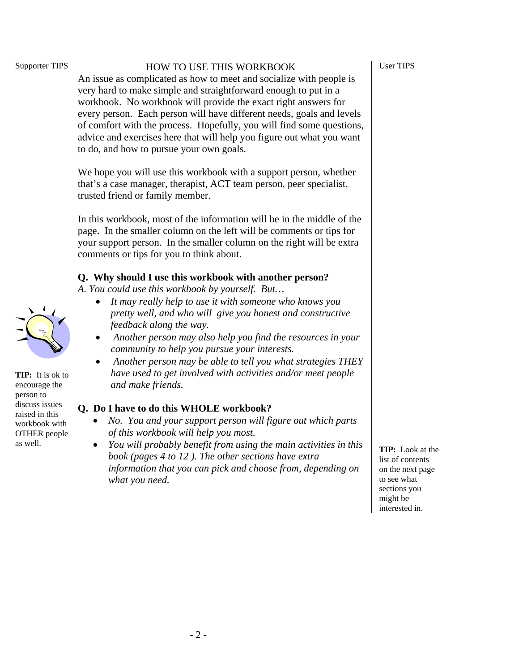|                                                                                            | every person. Each person will have different needs, goals and levels<br>of comfort with the process. Hopefully, you will find some questions,<br>advice and exercises here that will help you figure out what you want<br>to do, and how to pursue your own goals.                                                                                                                                                                                                                                                              |
|--------------------------------------------------------------------------------------------|----------------------------------------------------------------------------------------------------------------------------------------------------------------------------------------------------------------------------------------------------------------------------------------------------------------------------------------------------------------------------------------------------------------------------------------------------------------------------------------------------------------------------------|
|                                                                                            | We hope you will use this workbook with a support person, whether<br>that's a case manager, therapist, ACT team person, peer specialist,<br>trusted friend or family member.                                                                                                                                                                                                                                                                                                                                                     |
|                                                                                            | In this workbook, most of the information will be in the middle of the<br>page. In the smaller column on the left will be comments or tips for<br>your support person. In the smaller column on the right will be extra<br>comments or tips for you to think about.                                                                                                                                                                                                                                                              |
| TIP: It is ok to<br>encourage the                                                          | Q. Why should I use this workbook with another person?<br>A. You could use this workbook by yourself. But<br>It may really help to use it with someone who knows you<br>pretty well, and who will give you honest and constructive<br>feedback along the way.<br>Another person may also help you find the resources in your<br>community to help you pursue your interests.<br>Another person may be able to tell you what strategies THEY<br>have used to get involved with activities and/or meet people<br>and make friends. |
| person to<br>discuss issues<br>raised in this<br>workbook with<br>OTHER people<br>as well. | Q. Do I have to do this WHOLE workbook?<br>No. You and your support person will figure out which parts<br>of this workbook will help you most.<br>You will probably benefit from using the main activities in this<br>book (pages 4 to 12). The other sections have extra<br>information that you can pick and choose from, depending on                                                                                                                                                                                         |

*what you need.*

Supporter TIPS

#### HOW TO USE THIS WORKBOOK

workbook. No workbook will provide the exact right answers for

**TIP:** Look at the list of contents on the next page to see what sections you might be interested in.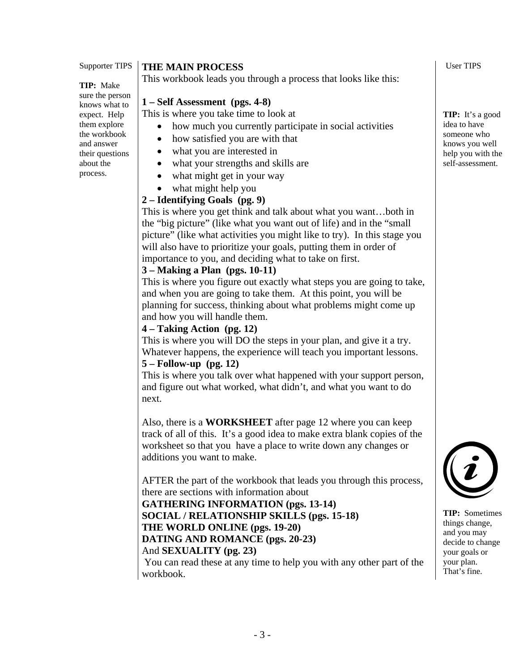**TIP:** Make sure the person knows what to expect. Help them explore the workbook and answer their questions about the process.

#### **THE MAIN PROCESS**

This workbook leads you through a process that looks like this:

#### **1 – Self Assessment (pgs. 4-8)**

This is where you take time to look at

- how much you currently participate in social activities
- how satisfied you are with that
- what you are interested in
- what your strengths and skills are
- what might get in your way
- what might help you

#### **2 – Identifying Goals (pg. 9)**

This is where you get think and talk about what you want…both in the "big picture" (like what you want out of life) and in the "small picture" (like what activities you might like to try). In this stage you will also have to prioritize your goals, putting them in order of importance to you, and deciding what to take on first.

#### **3 – Making a Plan (pgs. 10-11)**

This is where you figure out exactly what steps you are going to take, and when you are going to take them. At this point, you will be planning for success, thinking about what problems might come up and how you will handle them.

#### **4 – Taking Action (pg. 12)**

This is where you will DO the steps in your plan, and give it a try. Whatever happens, the experience will teach you important lessons.

#### **5 – Follow-up (pg. 12)**

This is where you talk over what happened with your support person, and figure out what worked, what didn't, and what you want to do next.

Also, there is a **WORKSHEET** after page 12 where you can keep track of all of this. It's a good idea to make extra blank copies of the worksheet so that you have a place to write down any changes or additions you want to make.

AFTER the part of the workbook that leads you through this process, there are sections with information about

# **GATHERING INFORMATION (pgs. 13-14) SOCIAL / RELATIONSHIP SKILLS (pgs. 15-18)**

# **THE WORLD ONLINE (pgs. 19-20)**

#### **DATING AND ROMANCE (pgs. 20-23)**

#### And **SEXUALITY (pg. 23)**

 You can read these at any time to help you with any other part of the workbook.

User TIPS

**TIP:** It's a good idea to have someone who knows you well help you with the self-assessment.



**TIP:** Sometimes things change, and you may decide to change your goals or your plan. That's fine.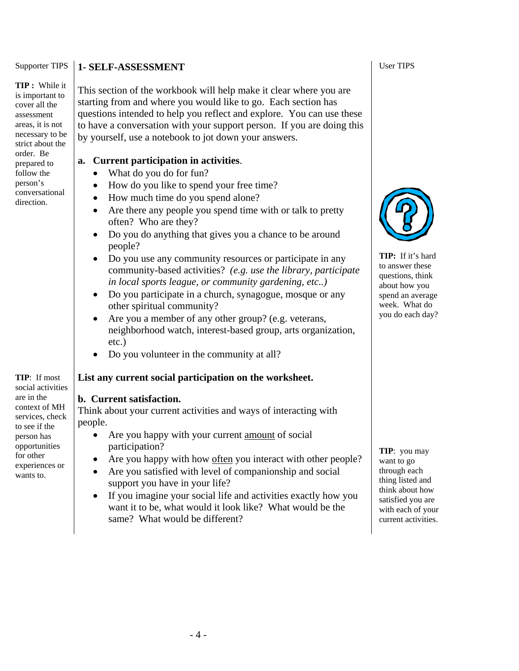**TIP :** While it is important to cover all the assessment areas, it is not necessary to be strict about the order. Be prepared to follow the person's conversational direction.

#### **1- SELF-ASSESSMENT**

This section of the workbook will help make it clear where you are starting from and where you would like to go. Each section has questions intended to help you reflect and explore. You can use these to have a conversation with your support person. If you are doing this by yourself, use a notebook to jot down your answers.

#### **a. Current participation in activities**.

- What do you do for fun?
- How do you like to spend your free time?
- How much time do you spend alone?
- Are there any people you spend time with or talk to pretty often? Who are they?
- Do you do anything that gives you a chance to be around people?
- Do you use any community resources or participate in any community-based activities? *(e.g. use the library, participate in local sports league, or community gardening, etc..)*
- Do you participate in a church, synagogue, mosque or any other spiritual community?
- Are you a member of any other group? (e.g. veterans, neighborhood watch, interest-based group, arts organization, etc.)
- Do you volunteer in the community at all?

#### **List any current social participation on the worksheet.**

#### **b. Current satisfaction.**

Think about your current activities and ways of interacting with people.

- Are you happy with your current amount of social participation?
- Are you happy with how often you interact with other people?
- Are you satisfied with level of companionship and social support you have in your life?
- If you imagine your social life and activities exactly how you want it to be, what would it look like? What would be the same? What would be different?

User TIPS



**TIP:** If it's hard to answer these questions, think about how you spend an average week. What do you do each day?

**TIP**: you may want to go through each thing listed and think about how satisfied you are with each of your current activities.

**TIP**: If most social activities are in the context of MH services, check to see if the person has opportunities for other experiences or wants to.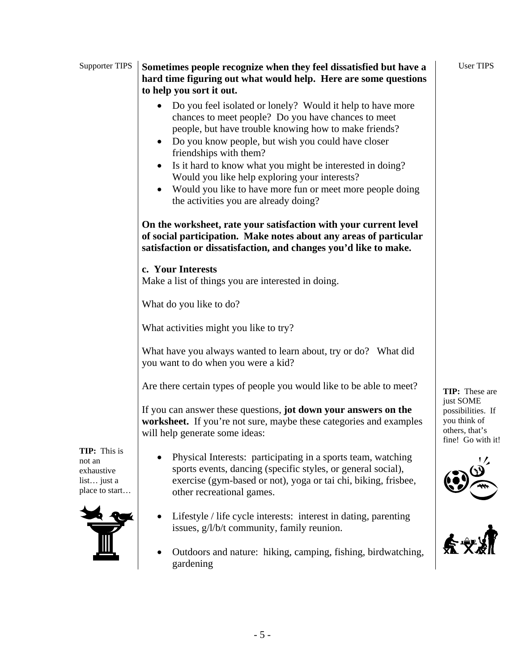#### Supporter TIPS **Sometimes people recognize when they feel dissatisfied but have a hard time figuring out what would help. Here are some questions to help you sort it out.**

- Do you feel isolated or lonely? Would it help to have more chances to meet people? Do you have chances to meet people, but have trouble knowing how to make friends?
- Do you know people, but wish you could have closer friendships with them?
- Is it hard to know what you might be interested in doing? Would you like help exploring your interests?
- Would you like to have more fun or meet more people doing the activities you are already doing?

**On the worksheet, rate your satisfaction with your current level of social participation. Make notes about any areas of particular satisfaction or dissatisfaction, and changes you'd like to make.** 

## **c. Your Interests**

Make a list of things you are interested in doing.

What do you like to do?

What activities might you like to try?

What have you always wanted to learn about, try or do? What did you want to do when you were a kid?

Are there certain types of people you would like to be able to meet?

If you can answer these questions, **jot down your answers on the worksheet.** If you're not sure, maybe these categories and examples will help generate some ideas:

**TIP:** This is not an exhaustive list… just a place to start…



- Physical Interests: participating in a sports team, watching sports events, dancing (specific styles, or general social), exercise (gym-based or not), yoga or tai chi, biking, frisbee, other recreational games.
- Lifestyle / life cycle interests: interest in dating, parenting issues, g/l/b/t community, family reunion.
- Outdoors and nature: hiking, camping, fishing, birdwatching, gardening

**TIP:** These are just SOME possibilities. If you think of others, that's fine! Go with it!

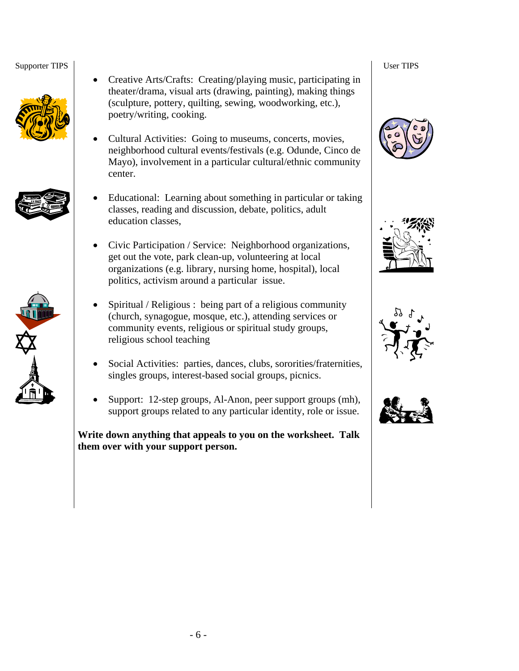





- Creative Arts/Crafts: Creating/playing music, participating in theater/drama, visual arts (drawing, painting), making things (sculpture, pottery, quilting, sewing, woodworking, etc.), poetry/writing, cooking.
- Cultural Activities: Going to museums, concerts, movies, neighborhood cultural events/festivals (e.g. Odunde, Cinco de Mayo), involvement in a particular cultural/ethnic community center.
- Educational: Learning about something in particular or taking classes, reading and discussion, debate, politics, adult education classes,
- Civic Participation / Service: Neighborhood organizations, get out the vote, park clean-up, volunteering at local organizations (e.g. library, nursing home, hospital), local politics, activism around a particular issue.
- Spiritual / Religious : being part of a religious community (church, synagogue, mosque, etc.), attending services or community events, religious or spiritual study groups, religious school teaching
- Social Activities: parties, dances, clubs, sororities/fraternities, singles groups, interest-based social groups, picnics.
- Support: 12-step groups, Al-Anon, peer support groups (mh), support groups related to any particular identity, role or issue.

**Write down anything that appeals to you on the worksheet. Talk them over with your support person.** 







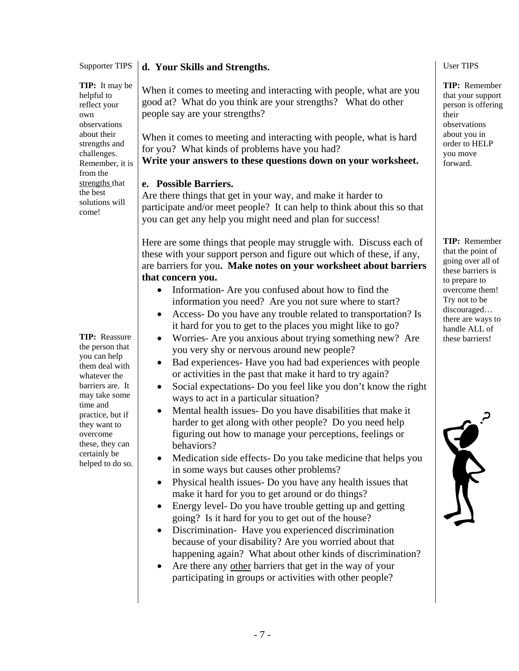**TIP:** It may be helpful to reflect your own observations about their strengths and challenges. Remember, it is from the strengths that the best solutions will come!

**TIP:** Reassure the person that you can help them deal with whatever the barriers are. It may take some time and practice, but if they want to overcome these, they can certainly be helped to do so.

#### **d. Your Skills and Strengths.**

When it comes to meeting and interacting with people, what are you good at? What do you think are your strengths? What do other people say are your strengths?

When it comes to meeting and interacting with people, what is hard for you? What kinds of problems have you had?

**Write your answers to these questions down on your worksheet.** 

#### **e. Possible Barriers.**

Are there things that get in your way, and make it harder to participate and/or meet people? It can help to think about this so that you can get any help you might need and plan for success!

Here are some things that people may struggle with. Discuss each of these with your support person and figure out which of these, if any, are barriers for you**. Make notes on your worksheet about barriers that concern you.** 

- Information-Are you confused about how to find the information you need? Are you not sure where to start?
- Access- Do you have any trouble related to transportation? Is it hard for you to get to the places you might like to go?
- Worries- Are you anxious about trying something new? Are you very shy or nervous around new people?
- Bad experiences- Have you had bad experiences with people or activities in the past that make it hard to try again?
- Social expectations- Do you feel like you don't know the right ways to act in a particular situation?
- Mental health issues- Do you have disabilities that make it harder to get along with other people? Do you need help figuring out how to manage your perceptions, feelings or behaviors?
- Medication side effects- Do you take medicine that helps you in some ways but causes other problems?
- Physical health issues- Do you have any health issues that make it hard for you to get around or do things?
- Energy level- Do you have trouble getting up and getting going? Is it hard for you to get out of the house?
- Discrimination- Have you experienced discrimination because of your disability? Are you worried about that happening again? What about other kinds of discrimination?
- Are there any other barriers that get in the way of your participating in groups or activities with other people?

User TIPS

**TIP:** Remember that your support person is offering their observations about you in order to HELP you move forward.

**TIP:** Remember that the point of going over all of these barriers is to prepare to overcome them! Try not to be discouraged… there are ways to handle ALL of these barriers!

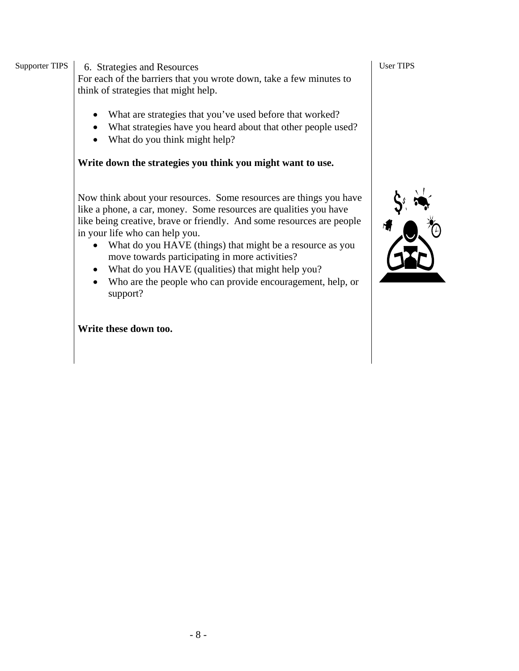Supporter TIPS | 6. Strategies and Resources

For each of the barriers that you wrote down, take a few minutes to think of strategies that might help.

- What are strategies that you've used before that worked?
- What strategies have you heard about that other people used?
- What do you think might help?

### **Write down the strategies you think you might want to use.**

Now think about your resources. Some resources are things you have like a phone, a car, money. Some resources are qualities you have like being creative, brave or friendly. And some resources are people in your life who can help you.

- What do you HAVE (things) that might be a resource as you move towards participating in more activities?
- What do you HAVE (qualities) that might help you?
- Who are the people who can provide encouragement, help, or support?

**Write these down too.** 

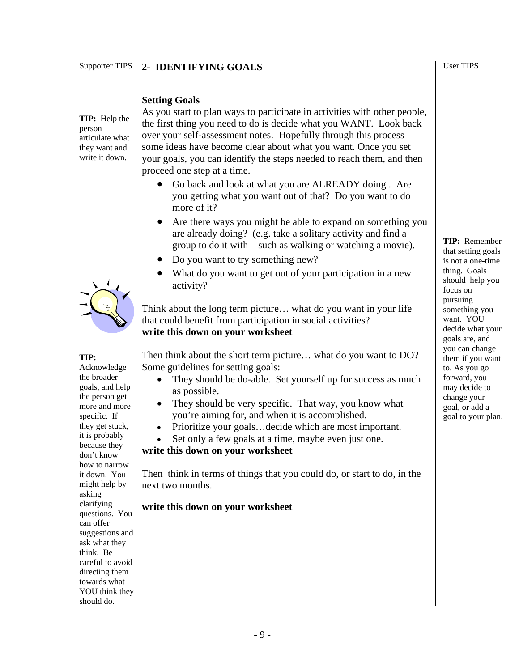#### Supporter TIPS **2- IDENTIFYING GOALS**

#### User TIPS

#### **Setting Goals**

**TIP:** Help the person articulate what they want and write it down.



#### **TIP:**

Acknowledge the broader goals, and help the person get more and more specific. If they get stuck, it is probably because they don't know how to narrow it down. You might help by asking clarifying questions. You can offer suggestions and ask what they think. Be careful to avoid directing them towards what YOU think they should do.

As you start to plan ways to participate in activities with other people, the first thing you need to do is decide what you WANT. Look back over your self-assessment notes. Hopefully through this process some ideas have become clear about what you want. Once you set your goals, you can identify the steps needed to reach them, and then proceed one step at a time.

- Go back and look at what you are ALREADY doing . Are you getting what you want out of that? Do you want to do more of it?
- Are there ways you might be able to expand on something you are already doing? (e.g. take a solitary activity and find a group to do it with – such as walking or watching a movie).
- Do you want to try something new?
- What do you want to get out of your participation in a new activity?

Think about the long term picture… what do you want in your life that could benefit from participation in social activities? **write this down on your worksheet** 

Then think about the short term picture… what do you want to DO? Some guidelines for setting goals:

- They should be do-able. Set yourself up for success as much as possible.
- They should be very specific. That way, you know what you're aiming for, and when it is accomplished.
- Prioritize your goals…decide which are most important.
- Set only a few goals at a time, maybe even just one.

#### **write this down on your worksheet**

Then think in terms of things that you could do, or start to do, in the next two months.

#### **write this down on your worksheet**

**TIP:** Remember that setting goals is not a one-time thing. Goals should help you focus on pursuing something you want. YOU decide what your goals are, and you can change them if you want to. As you go forward, you may decide to change your goal, or add a goal to your plan.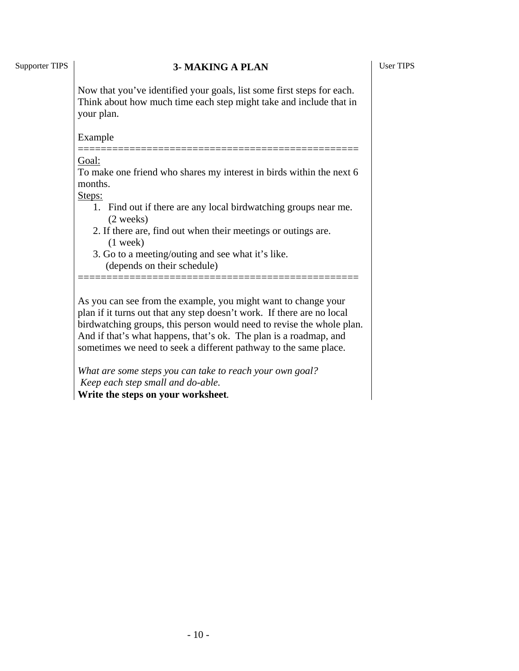#### Supporter TIPS **3- MAKING A PLAN**

Now that you've identified your goals, list some first steps for each. Think about how much time each step might take and include that in your plan.

Example

#### ================================================= Goal:

To make one friend who shares my interest in birds within the next 6 months.

Steps:

- 1. Find out if there are any local birdwatching groups near me. (2 weeks)
- 2. If there are, find out when their meetings or outings are. (1 week)
- 3. Go to a meeting/outing and see what it's like. (depends on their schedule)

As you can see from the example, you might want to change your plan if it turns out that any step doesn't work. If there are no local birdwatching groups, this person would need to revise the whole plan. And if that's what happens, that's ok. The plan is a roadmap, and sometimes we need to seek a different pathway to the same place.

=================================================

*What are some steps you can take to reach your own goal? Keep each step small and do-able.*  **Write the steps on your worksheet***.*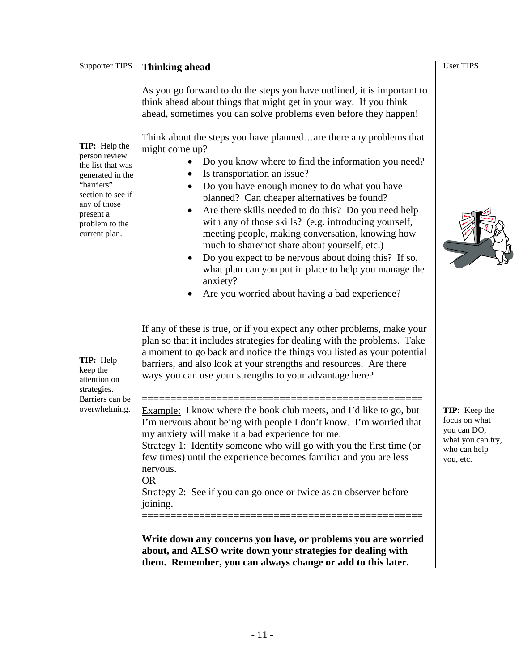| <b>Supporter TIPS</b>                                                                                                                                                      | <b>Thinking ahead</b>                                                                                                                                                                                                                                                                                                                                                                                                                                                                                                                                                                                                                                                                                        | <b>User TIPS</b>                                                                                |
|----------------------------------------------------------------------------------------------------------------------------------------------------------------------------|--------------------------------------------------------------------------------------------------------------------------------------------------------------------------------------------------------------------------------------------------------------------------------------------------------------------------------------------------------------------------------------------------------------------------------------------------------------------------------------------------------------------------------------------------------------------------------------------------------------------------------------------------------------------------------------------------------------|-------------------------------------------------------------------------------------------------|
|                                                                                                                                                                            | As you go forward to do the steps you have outlined, it is important to<br>think ahead about things that might get in your way. If you think<br>ahead, sometimes you can solve problems even before they happen!                                                                                                                                                                                                                                                                                                                                                                                                                                                                                             |                                                                                                 |
| TIP: Help the<br>person review<br>the list that was<br>generated in the<br>"barriers"<br>section to see if<br>any of those<br>present a<br>problem to the<br>current plan. | Think about the steps you have plannedare there any problems that<br>might come up?<br>Do you know where to find the information you need?<br>Is transportation an issue?<br>Do you have enough money to do what you have<br>٠<br>planned? Can cheaper alternatives be found?<br>Are there skills needed to do this? Do you need help<br>$\bullet$<br>with any of those skills? (e.g. introducing yourself,<br>meeting people, making conversation, knowing how<br>much to share/not share about yourself, etc.)<br>Do you expect to be nervous about doing this? If so,<br>$\bullet$<br>what plan can you put in place to help you manage the<br>anxiety?<br>Are you worried about having a bad experience? |                                                                                                 |
| <b>TIP:</b> Help<br>keep the<br>attention on<br>strategies.<br>Barriers can be<br>overwhelming.                                                                            | If any of these is true, or if you expect any other problems, make your<br>plan so that it includes strategies for dealing with the problems. Take<br>a moment to go back and notice the things you listed as your potential<br>barriers, and also look at your strengths and resources. Are there<br>ways you can use your strengths to your advantage here?                                                                                                                                                                                                                                                                                                                                                |                                                                                                 |
|                                                                                                                                                                            | <b>Example:</b> I know where the book club meets, and I'd like to go, but<br>I'm nervous about being with people I don't know. I'm worried that<br>my anxiety will make it a bad experience for me.<br>Strategy 1: Identify someone who will go with you the first time (or<br>few times) until the experience becomes familiar and you are less<br>nervous.<br><b>OR</b><br>Strategy 2: See if you can go once or twice as an observer before<br>joining.                                                                                                                                                                                                                                                   | TIP: Keep the<br>focus on what<br>you can DO,<br>what you can try,<br>who can help<br>you, etc. |
|                                                                                                                                                                            | Write down any concerns you have, or problems you are worried<br>about, and ALSO write down your strategies for dealing with<br>them. Remember, you can always change or add to this later.                                                                                                                                                                                                                                                                                                                                                                                                                                                                                                                  |                                                                                                 |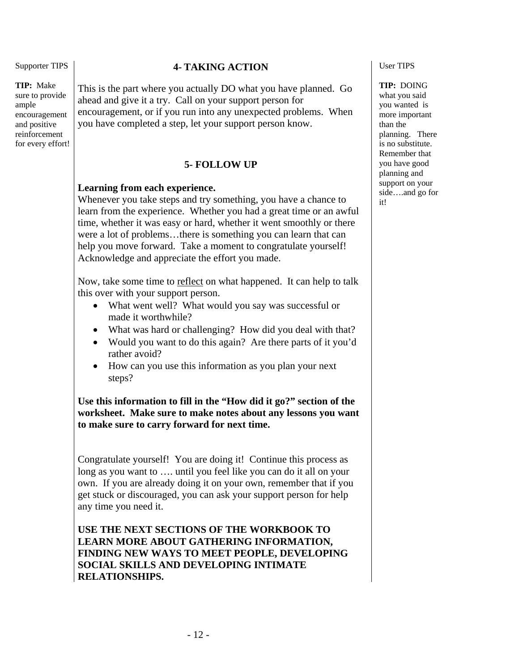**TIP:** Make sure to provide ample encouragement and positive reinforcement for every effort!

#### **4- TAKING ACTION**

This is the part where you actually DO what you have planned. Go ahead and give it a try. Call on your support person for encouragement, or if you run into any unexpected problems. When you have completed a step, let your support person know.

#### **5- FOLLOW UP**

#### **Learning from each experience.**

Whenever you take steps and try something, you have a chance to learn from the experience. Whether you had a great time or an awful time, whether it was easy or hard, whether it went smoothly or there were a lot of problems…there is something you can learn that can help you move forward. Take a moment to congratulate yourself! Acknowledge and appreciate the effort you made.

Now, take some time to reflect on what happened. It can help to talk this over with your support person.

- What went well? What would you say was successful or made it worthwhile?
- What was hard or challenging? How did you deal with that?
- Would you want to do this again? Are there parts of it you'd rather avoid?
- How can you use this information as you plan your next steps?

**Use this information to fill in the "How did it go?" section of the worksheet. Make sure to make notes about any lessons you want to make sure to carry forward for next time.** 

Congratulate yourself! You are doing it! Continue this process as long as you want to …. until you feel like you can do it all on your own. If you are already doing it on your own, remember that if you get stuck or discouraged, you can ask your support person for help any time you need it.

**USE THE NEXT SECTIONS OF THE WORKBOOK TO LEARN MORE ABOUT GATHERING INFORMATION, FINDING NEW WAYS TO MEET PEOPLE, DEVELOPING SOCIAL SKILLS AND DEVELOPING INTIMATE RELATIONSHIPS.**

User TIPS

**TIP:** DOING what you said you wanted is more important than the planning. There is no substitute. Remember that you have good planning and support on your side….and go for it!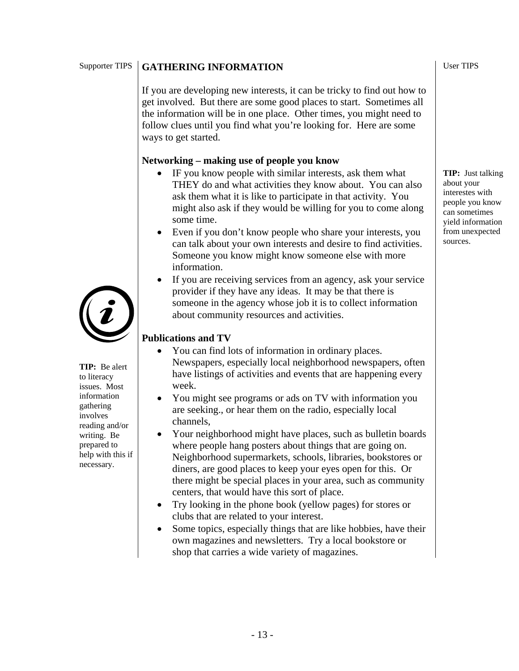#### Supporter TIPS **GATHERING INFORMATION**

If you are developing new interests, it can be tricky to find out how to get involved. But there are some good places to start. Sometimes all the information will be in one place. Other times, you might need to follow clues until you find what you're looking for. Here are some ways to get started.

#### **Networking – making use of people you know**

- IF you know people with similar interests, ask them what THEY do and what activities they know about. You can also ask them what it is like to participate in that activity. You might also ask if they would be willing for you to come along some time.
- Even if you don't know people who share your interests, you can talk about your own interests and desire to find activities. Someone you know might know someone else with more information.
- If you are receiving services from an agency, ask your service provider if they have any ideas. It may be that there is someone in the agency whose job it is to collect information about community resources and activities.

### **Publications and TV**

- You can find lots of information in ordinary places. Newspapers, especially local neighborhood newspapers, often have listings of activities and events that are happening every week.
- You might see programs or ads on TV with information you are seeking., or hear them on the radio, especially local channels,
- Your neighborhood might have places, such as bulletin boards where people hang posters about things that are going on. Neighborhood supermarkets, schools, libraries, bookstores or diners, are good places to keep your eyes open for this. Or there might be special places in your area, such as community centers, that would have this sort of place.
- Try looking in the phone book (yellow pages) for stores or clubs that are related to your interest.
- Some topics, especially things that are like hobbies, have their own magazines and newsletters. Try a local bookstore or shop that carries a wide variety of magazines.



**TIP:** Be alert to literacy issues. Most information gathering involves reading and/or writing. Be prepared to help with this if necessary.

User TIPS

**TIP:** Just talking about your interestes with people you know can sometimes yield information from unexpected sources.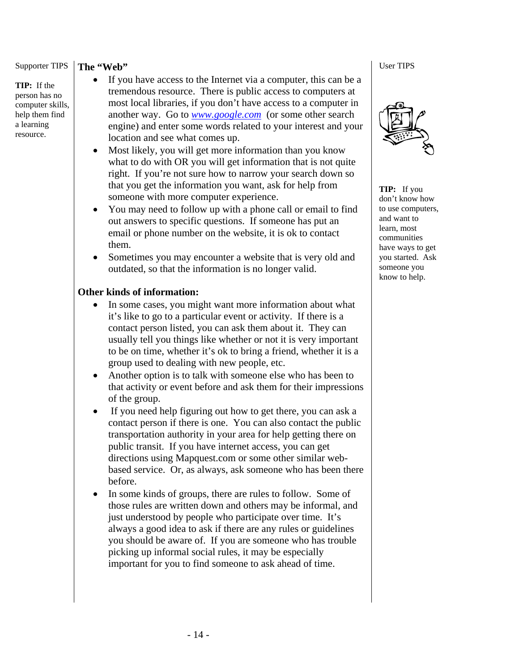**TIP:** If the person has no computer skills, help them find a learning resource.

#### **The "Web"**

- If you have access to the Internet via a computer, this can be a tremendous resource. There is public access to computers at most local libraries, if you don't have access to a computer in another way. Go to *www.google.com* (or some other search engine) and enter some words related to your interest and your location and see what comes up.
- Most likely, you will get more information than you know what to do with OR you will get information that is not quite right. If you're not sure how to narrow your search down so that you get the information you want, ask for help from someone with more computer experience.
- You may need to follow up with a phone call or email to find out answers to specific questions. If someone has put an email or phone number on the website, it is ok to contact them.
- Sometimes you may encounter a website that is very old and outdated, so that the information is no longer valid.

#### **Other kinds of information:**

- In some cases, you might want more information about what it's like to go to a particular event or activity. If there is a contact person listed, you can ask them about it. They can usually tell you things like whether or not it is very important to be on time, whether it's ok to bring a friend, whether it is a group used to dealing with new people, etc.
- Another option is to talk with someone else who has been to that activity or event before and ask them for their impressions of the group.
- If you need help figuring out how to get there, you can ask a contact person if there is one. You can also contact the public transportation authority in your area for help getting there on public transit. If you have internet access, you can get directions using Mapquest.com or some other similar webbased service. Or, as always, ask someone who has been there before.
- In some kinds of groups, there are rules to follow. Some of those rules are written down and others may be informal, and just understood by people who participate over time. It's always a good idea to ask if there are any rules or guidelines you should be aware of. If you are someone who has trouble picking up informal social rules, it may be especially important for you to find someone to ask ahead of time.

User TIPS



**TIP:** If you don't know how to use computers, and want to learn, most communities have ways to get you started. Ask someone you know to help.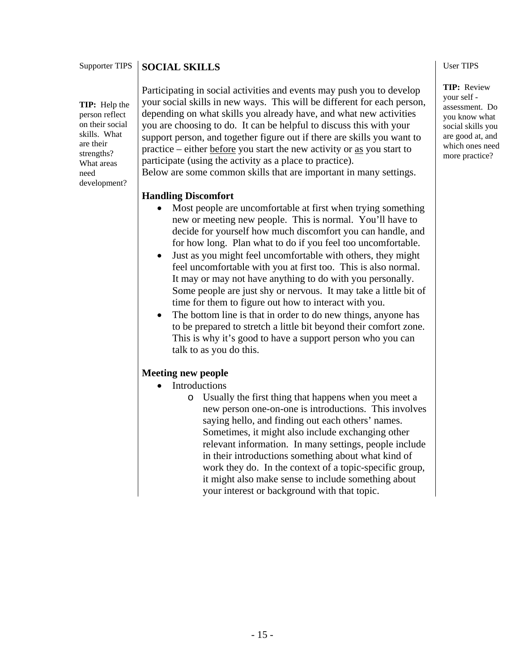#### Supporter TIPS **SOCIAL SKILLS**

**TIP:** Help the person reflect on their social skills. What are their strengths? What areas need development?

Participating in social activities and events may push you to develop your social skills in new ways. This will be different for each person, depending on what skills you already have, and what new activities you are choosing to do. It can be helpful to discuss this with your support person, and together figure out if there are skills you want to practice – either before you start the new activity or as you start to participate (using the activity as a place to practice).

Below are some common skills that are important in many settings.

#### **Handling Discomfort**

- Most people are uncomfortable at first when trying something new or meeting new people. This is normal. You'll have to decide for yourself how much discomfort you can handle, and for how long. Plan what to do if you feel too uncomfortable.
- Just as you might feel uncomfortable with others, they might feel uncomfortable with you at first too. This is also normal. It may or may not have anything to do with you personally. Some people are just shy or nervous. It may take a little bit of time for them to figure out how to interact with you.
- The bottom line is that in order to do new things, anyone has to be prepared to stretch a little bit beyond their comfort zone. This is why it's good to have a support person who you can talk to as you do this.

#### **Meeting new people**

- **Introductions** 
	- o Usually the first thing that happens when you meet a new person one-on-one is introductions. This involves saying hello, and finding out each others' names. Sometimes, it might also include exchanging other relevant information. In many settings, people include in their introductions something about what kind of work they do. In the context of a topic-specific group, it might also make sense to include something about your interest or background with that topic.

#### User TIPS

**TIP:** Review your self assessment. Do you know what social skills you are good at, and which ones need more practice?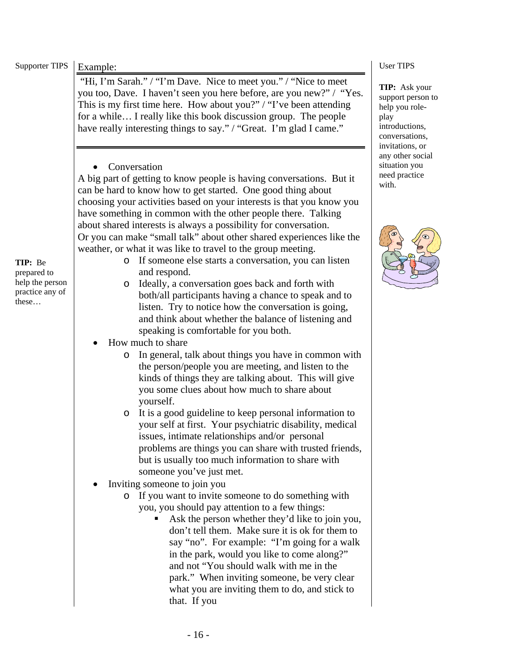| <b>Supporter TIPS</b>                                                 | Example:                                                                                                                                                                                                                                                                                                                                                                                                                                                                                                                                                                                                                                                                                                                                                                                                                                                                                                                                                                                                                                                                                                                                                                                                                                                                                                                                                                                                                                                                                                                                            | <b>User TIPS</b>                                                                                                    |
|-----------------------------------------------------------------------|-----------------------------------------------------------------------------------------------------------------------------------------------------------------------------------------------------------------------------------------------------------------------------------------------------------------------------------------------------------------------------------------------------------------------------------------------------------------------------------------------------------------------------------------------------------------------------------------------------------------------------------------------------------------------------------------------------------------------------------------------------------------------------------------------------------------------------------------------------------------------------------------------------------------------------------------------------------------------------------------------------------------------------------------------------------------------------------------------------------------------------------------------------------------------------------------------------------------------------------------------------------------------------------------------------------------------------------------------------------------------------------------------------------------------------------------------------------------------------------------------------------------------------------------------------|---------------------------------------------------------------------------------------------------------------------|
|                                                                       | "Hi, I'm Sarah." / "I'm Dave. Nice to meet you." / "Nice to meet<br>you too, Dave. I haven't seen you here before, are you new?" / "Yes.<br>This is my first time here. How about you?" / "I've been attending<br>for a while I really like this book discussion group. The people<br>have really interesting things to say." / "Great. I'm glad I came."                                                                                                                                                                                                                                                                                                                                                                                                                                                                                                                                                                                                                                                                                                                                                                                                                                                                                                                                                                                                                                                                                                                                                                                           | TIP: Ask your<br>support person to<br>help you role-<br>play<br>introductions,<br>conversations,<br>invitations, or |
|                                                                       | Conversation<br>A big part of getting to know people is having conversations. But it<br>can be hard to know how to get started. One good thing about<br>choosing your activities based on your interests is that you know you<br>have something in common with the other people there. Talking<br>about shared interests is always a possibility for conversation.<br>Or you can make "small talk" about other shared experiences like the                                                                                                                                                                                                                                                                                                                                                                                                                                                                                                                                                                                                                                                                                                                                                                                                                                                                                                                                                                                                                                                                                                          | any other social<br>situation you<br>need practice<br>with.                                                         |
| TIP: Be<br>prepared to<br>help the person<br>practice any of<br>these | weather, or what it was like to travel to the group meeting.<br>If someone else starts a conversation, you can listen<br>$\circ$<br>and respond.<br>Ideally, a conversation goes back and forth with<br>$\circ$<br>both/all participants having a chance to speak and to<br>listen. Try to notice how the conversation is going,<br>and think about whether the balance of listening and<br>speaking is comfortable for you both.<br>How much to share<br>In general, talk about things you have in common with<br>$\circ$<br>the person/people you are meeting, and listen to the<br>kinds of things they are talking about. This will give<br>you some clues about how much to share about<br>yourself.<br>It is a good guideline to keep personal information to<br>$\circ$<br>your self at first. Your psychiatric disability, medical<br>issues, intimate relationships and/or personal<br>problems are things you can share with trusted friends,<br>but is usually too much information to share with<br>someone you've just met.<br>Inviting someone to join you<br>o If you want to invite someone to do something with<br>you, you should pay attention to a few things:<br>Ask the person whether they'd like to join you,<br>don't tell them. Make sure it is ok for them to<br>say "no". For example: "I'm going for a walk<br>in the park, would you like to come along?"<br>and not "You should walk with me in the<br>park." When inviting someone, be very clear<br>what you are inviting them to do, and stick to<br>that. If you |                                                                                                                     |
|                                                                       | $-16-$                                                                                                                                                                                                                                                                                                                                                                                                                                                                                                                                                                                                                                                                                                                                                                                                                                                                                                                                                                                                                                                                                                                                                                                                                                                                                                                                                                                                                                                                                                                                              |                                                                                                                     |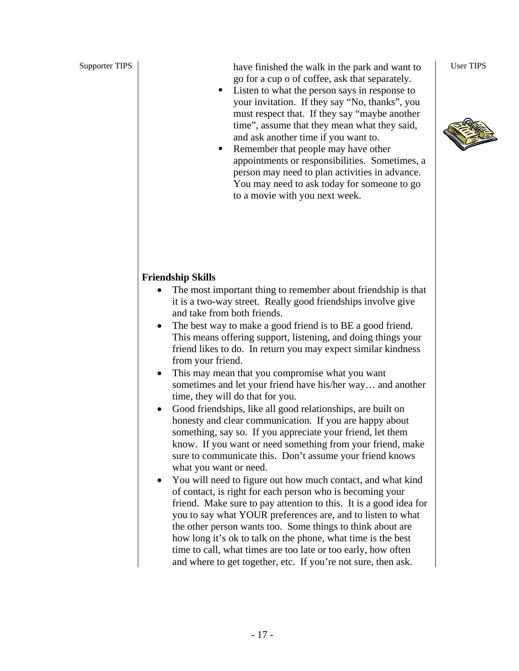Supporter TIPS <br>have finished the walk in the park and want to go for a cup o of coffee, ask that separately.

- Listen to what the person says in response to your invitation. If they say "No, thanks", you must respect that. If they say "maybe another time", assume that they mean what they said, and ask another time if you want to.
- Remember that people may have other appointments or responsibilities. Sometimes, a person may need to plan activities in advance. You may need to ask today for someone to go to a movie with you next week.

User TIPS



#### **Friendship Skills**

- The most important thing to remember about friendship is that it is a two-way street. Really good friendships involve give and take from both friends.
- The best way to make a good friend is to BE a good friend. This means offering support, listening, and doing things your friend likes to do. In return you may expect similar kindness from your friend.
- This may mean that you compromise what you want sometimes and let your friend have his/her way… and another time, they will do that for you.
- Good friendships, like all good relationships, are built on honesty and clear communication. If you are happy about something, say so. If you appreciate your friend, let them know. If you want or need something from your friend, make sure to communicate this. Don't assume your friend knows what you want or need.
- You will need to figure out how much contact, and what kind of contact, is right for each person who is becoming your friend. Make sure to pay attention to this. It is a good idea for you to say what YOUR preferences are, and to listen to what the other person wants too. Some things to think about are how long it's ok to talk on the phone, what time is the best time to call, what times are too late or too early, how often and where to get together, etc. If you're not sure, then ask.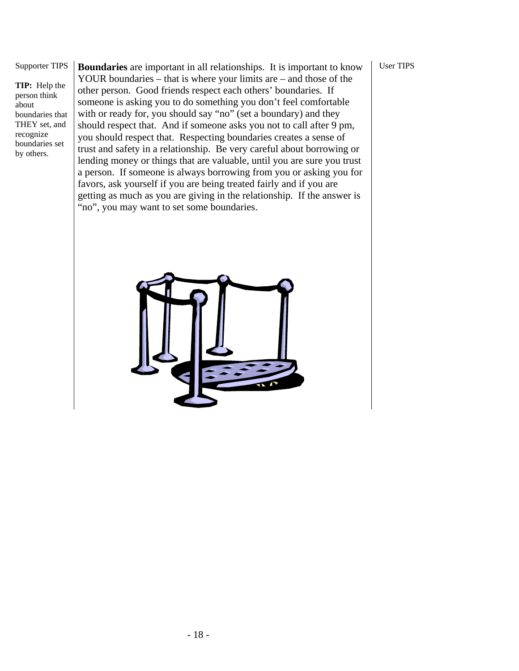User TIPS

#### Supporter TIPS

**TIP:** Help the person think about boundaries that THEY set, and recognize boundaries set by others.

**Boundaries** are important in all relationships. It is important to know YOUR boundaries – that is where your limits are – and those of the other person. Good friends respect each others' boundaries. If someone is asking you to do something you don't feel comfortable with or ready for, you should say "no" (set a boundary) and they should respect that. And if someone asks you not to call after 9 pm, you should respect that. Respecting boundaries creates a sense of trust and safety in a relationship. Be very careful about borrowing or lending money or things that are valuable, until you are sure you trust a person. If someone is always borrowing from you or asking you for favors, ask yourself if you are being treated fairly and if you are getting as much as you are giving in the relationship. If the answer is "no", you may want to set some boundaries.

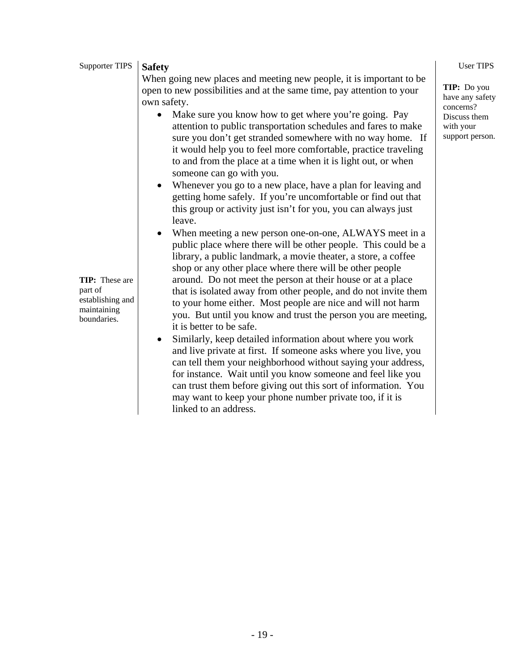| Supporter TIPS                                                                     | <b>Safety</b>                                                                                                                                                                                                                                                                                                                                                                                                                                                                                                                                                                                                                  | <b>User TIPS</b>                                                                            |
|------------------------------------------------------------------------------------|--------------------------------------------------------------------------------------------------------------------------------------------------------------------------------------------------------------------------------------------------------------------------------------------------------------------------------------------------------------------------------------------------------------------------------------------------------------------------------------------------------------------------------------------------------------------------------------------------------------------------------|---------------------------------------------------------------------------------------------|
|                                                                                    | When going new places and meeting new people, it is important to be<br>open to new possibilities and at the same time, pay attention to your<br>own safety.<br>Make sure you know how to get where you're going. Pay<br>attention to public transportation schedules and fares to make<br>sure you don't get stranded somewhere with no way home. If<br>it would help you to feel more comfortable, practice traveling<br>to and from the place at a time when it is light out, or when<br>someone can go with you.                                                                                                            | TIP: Do you<br>have any safety<br>concerns?<br>Discuss them<br>with your<br>support person. |
|                                                                                    | Whenever you go to a new place, have a plan for leaving and<br>$\bullet$<br>getting home safely. If you're uncomfortable or find out that<br>this group or activity just isn't for you, you can always just<br>leave.                                                                                                                                                                                                                                                                                                                                                                                                          |                                                                                             |
| <b>TIP:</b> These are<br>part of<br>establishing and<br>maintaining<br>boundaries. | When meeting a new person one-on-one, ALWAYS meet in a<br>public place where there will be other people. This could be a<br>library, a public landmark, a movie theater, a store, a coffee<br>shop or any other place where there will be other people<br>around. Do not meet the person at their house or at a place<br>that is isolated away from other people, and do not invite them<br>to your home either. Most people are nice and will not harm<br>you. But until you know and trust the person you are meeting,<br>it is better to be safe.<br>Similarly, keep detailed information about where you work<br>$\bullet$ |                                                                                             |
|                                                                                    | and live private at first. If someone asks where you live, you<br>can tell them your neighborhood without saying your address,<br>for instance. Wait until you know someone and feel like you                                                                                                                                                                                                                                                                                                                                                                                                                                  |                                                                                             |

can trust them before giving out this sort of information. You may want to keep your phone number private too, if it is

linked to an address.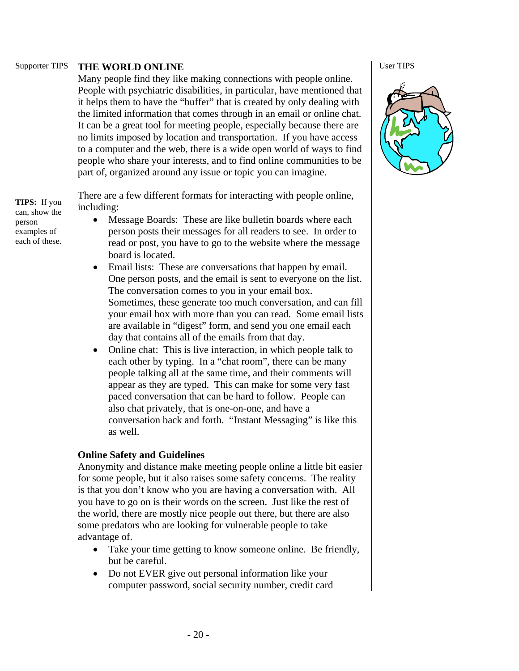#### Supporter TIPS **THE WORLD ONLINE**

Many people find they like making connections with people online. People with psychiatric disabilities, in particular, have mentioned that it helps them to have the "buffer" that is created by only dealing with the limited information that comes through in an email or online chat. It can be a great tool for meeting people, especially because there are no limits imposed by location and transportation. If you have access to a computer and the web, there is a wide open world of ways to find people who share your interests, and to find online communities to be part of, organized around any issue or topic you can imagine.

There are a few different formats for interacting with people online, including:

- Message Boards: These are like bulletin boards where each person posts their messages for all readers to see. In order to read or post, you have to go to the website where the message board is located.
- Email lists: These are conversations that happen by email. One person posts, and the email is sent to everyone on the list. The conversation comes to you in your email box. Sometimes, these generate too much conversation, and can fill your email box with more than you can read. Some email lists are available in "digest" form, and send you one email each day that contains all of the emails from that day.
- Online chat: This is live interaction, in which people talk to each other by typing. In a "chat room", there can be many people talking all at the same time, and their comments will appear as they are typed. This can make for some very fast paced conversation that can be hard to follow. People can also chat privately, that is one-on-one, and have a conversation back and forth. "Instant Messaging" is like this as well.

#### **Online Safety and Guidelines**

Anonymity and distance make meeting people online a little bit easier for some people, but it also raises some safety concerns. The reality is that you don't know who you are having a conversation with. All you have to go on is their words on the screen. Just like the rest of the world, there are mostly nice people out there, but there are also some predators who are looking for vulnerable people to take advantage of.

- Take your time getting to know someone online. Be friendly, but be careful.
- Do not EVER give out personal information like your computer password, social security number, credit card

User TIPS



**TIPS:** If you can, show the person examples of each of these.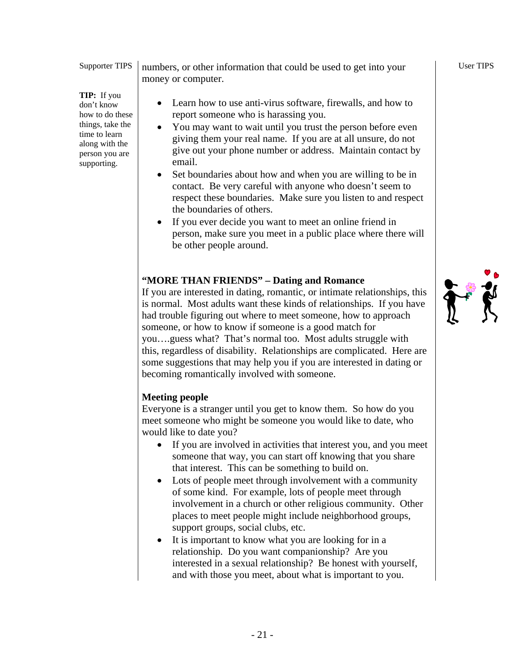**TIP:** If you don't know how to do these things, take the time to learn along with the person you are supporting.

numbers, or other information that could be used to get into your money or computer.

- Learn how to use anti-virus software, firewalls, and how to report someone who is harassing you.
- You may want to wait until you trust the person before even giving them your real name. If you are at all unsure, do not give out your phone number or address. Maintain contact by email.
- Set boundaries about how and when you are willing to be in contact. Be very careful with anyone who doesn't seem to respect these boundaries. Make sure you listen to and respect the boundaries of others.
- If you ever decide you want to meet an online friend in person, make sure you meet in a public place where there will be other people around.

## **"MORE THAN FRIENDS" – Dating and Romance**

If you are interested in dating, romantic, or intimate relationships, this is normal. Most adults want these kinds of relationships. If you have had trouble figuring out where to meet someone, how to approach someone, or how to know if someone is a good match for you….guess what? That's normal too. Most adults struggle with this, regardless of disability. Relationships are complicated. Here are some suggestions that may help you if you are interested in dating or becoming romantically involved with someone.

#### **Meeting people**

Everyone is a stranger until you get to know them. So how do you meet someone who might be someone you would like to date, who would like to date you?

- If you are involved in activities that interest you, and you meet someone that way, you can start off knowing that you share that interest. This can be something to build on.
- Lots of people meet through involvement with a community of some kind. For example, lots of people meet through involvement in a church or other religious community. Other places to meet people might include neighborhood groups, support groups, social clubs, etc.
- It is important to know what you are looking for in a relationship. Do you want companionship? Are you interested in a sexual relationship? Be honest with yourself, and with those you meet, about what is important to you.

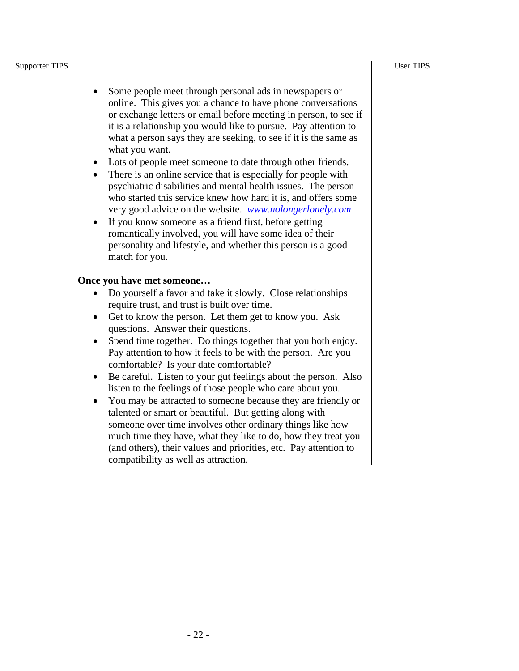#### User TIPS

#### Supporter TIPS

- Some people meet through personal ads in newspapers or online. This gives you a chance to have phone conversations or exchange letters or email before meeting in person, to see if it is a relationship you would like to pursue. Pay attention to what a person says they are seeking, to see if it is the same as what you want.
- Lots of people meet someone to date through other friends.
- There is an online service that is especially for people with psychiatric disabilities and mental health issues. The person who started this service knew how hard it is, and offers some very good advice on the website. *www.nolongerlonely.com*
- If you know someone as a friend first, before getting romantically involved, you will have some idea of their personality and lifestyle, and whether this person is a good match for you.

#### **Once you have met someone…**

- Do yourself a favor and take it slowly. Close relationships require trust, and trust is built over time.
- Get to know the person. Let them get to know you. Ask questions. Answer their questions.
- Spend time together. Do things together that you both enjoy. Pay attention to how it feels to be with the person. Are you comfortable? Is your date comfortable?
- Be careful. Listen to your gut feelings about the person. Also listen to the feelings of those people who care about you.
- You may be attracted to someone because they are friendly or talented or smart or beautiful. But getting along with someone over time involves other ordinary things like how much time they have, what they like to do, how they treat you (and others), their values and priorities, etc. Pay attention to compatibility as well as attraction.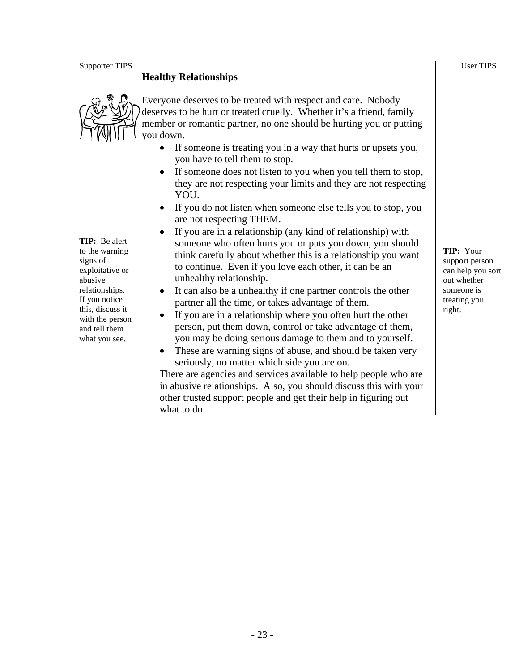#### **Healthy Relationships**



**TIP:** Be alert to the warning signs of exploitative or abusive relationships. If you notice this, discuss it with the person and tell them what you see.

- Everyone deserves to be treated with respect and care. Nobody deserves to be hurt or treated cruelly. Whether it's a friend, family member or romantic partner, no one should be hurting you or putting you down.
	- If someone is treating you in a way that hurts or upsets you, you have to tell them to stop.
	- If someone does not listen to you when you tell them to stop, they are not respecting your limits and they are not respecting YOU.
	- If you do not listen when someone else tells you to stop, you are not respecting THEM.
	- If you are in a relationship (any kind of relationship) with someone who often hurts you or puts you down, you should think carefully about whether this is a relationship you want to continue. Even if you love each other, it can be an unhealthy relationship.
	- It can also be a unhealthy if one partner controls the other partner all the time, or takes advantage of them.
	- If you are in a relationship where you often hurt the other person, put them down, control or take advantage of them, you may be doing serious damage to them and to yourself.
	- These are warning signs of abuse, and should be taken very seriously, no matter which side you are on.

There are agencies and services available to help people who are in abusive relationships. Also, you should discuss this with your other trusted support people and get their help in figuring out what to do.

**TIP:** Your support person can help you sort out whether someone is treating you right.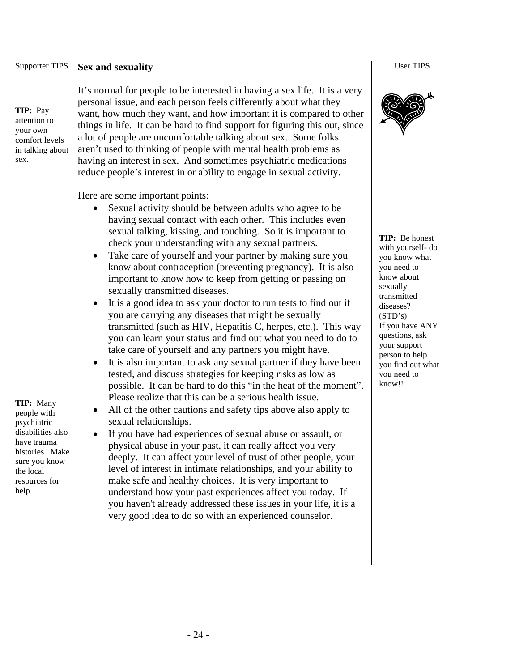#### Supporter TIPS **Sex and sexuality**

**TIP:** Pay attention to your own comfort levels in talking about sex.

**TIP:** Many people with psychiatric disabilities also have trauma histories. Make sure you know the local resources for help.

It's normal for people to be interested in having a sex life. It is a very personal issue, and each person feels differently about what they want, how much they want, and how important it is compared to other things in life. It can be hard to find support for figuring this out, since a lot of people are uncomfortable talking about sex. Some folks aren't used to thinking of people with mental health problems as having an interest in sex. And sometimes psychiatric medications reduce people's interest in or ability to engage in sexual activity.

Here are some important points:

- Sexual activity should be between adults who agree to be having sexual contact with each other. This includes even sexual talking, kissing, and touching. So it is important to check your understanding with any sexual partners.
- Take care of yourself and your partner by making sure you know about contraception (preventing pregnancy). It is also important to know how to keep from getting or passing on sexually transmitted diseases.
- It is a good idea to ask your doctor to run tests to find out if you are carrying any diseases that might be sexually transmitted (such as HIV, Hepatitis C, herpes, etc.). This way you can learn your status and find out what you need to do to take care of yourself and any partners you might have.
- It is also important to ask any sexual partner if they have been tested, and discuss strategies for keeping risks as low as possible. It can be hard to do this "in the heat of the moment". Please realize that this can be a serious health issue.
- All of the other cautions and safety tips above also apply to sexual relationships.
- If you have had experiences of sexual abuse or assault, or physical abuse in your past, it can really affect you very deeply. It can affect your level of trust of other people, your level of interest in intimate relationships, and your ability to make safe and healthy choices. It is very important to understand how your past experiences affect you today. If you haven't already addressed these issues in your life, it is a very good idea to do so with an experienced counselor.

User TIPS



**TIP:** Be honest with yourself- do you know what you need to know about sexually transmitted diseases? (STD's) If you have ANY questions, ask your support person to help you find out what you need to know!!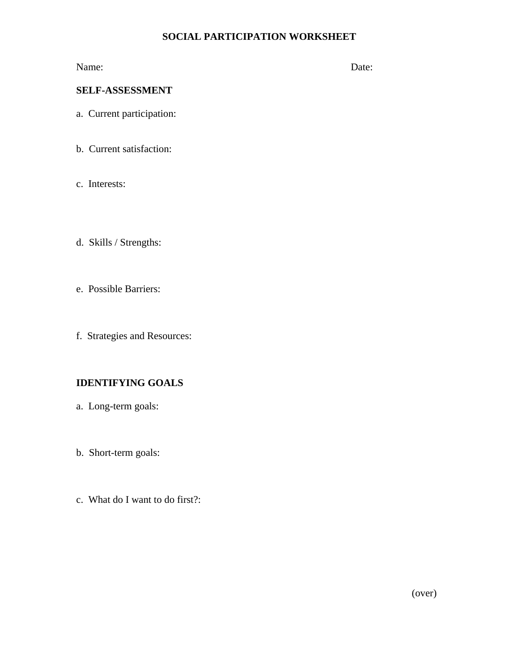#### **SOCIAL PARTICIPATION WORKSHEET**

Name: Date:

#### **SELF-ASSESSMENT**

- a. Current participation:
- b. Current satisfaction:
- c. Interests:
- d. Skills / Strengths:
- e. Possible Barriers:
- f. Strategies and Resources:

#### **IDENTIFYING GOALS**

- a. Long-term goals:
- b. Short-term goals:
- c. What do I want to do first?: